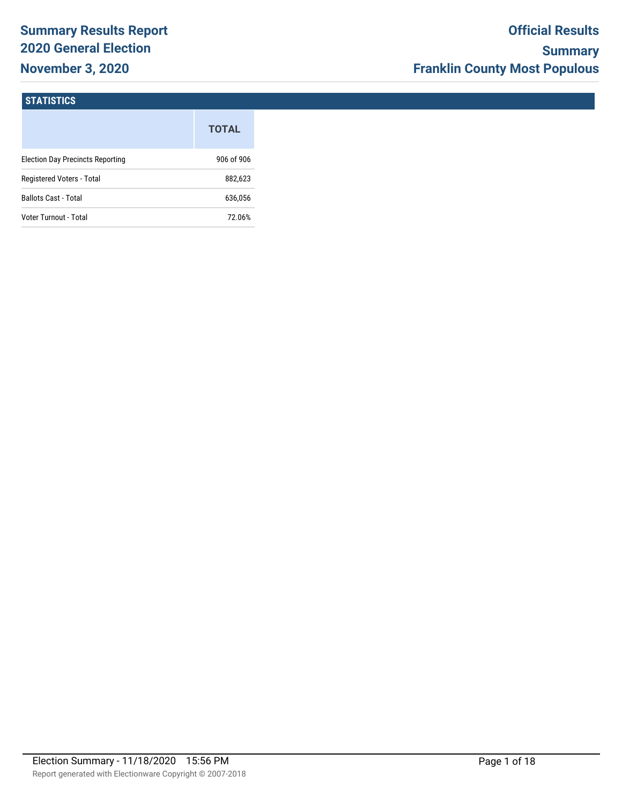# **Summary Results Report 2020 General Election November 3, 2020**

#### **STATISTICS**

|                                         | <b>TOTAL</b> |
|-----------------------------------------|--------------|
| <b>Election Day Precincts Reporting</b> | 906 of 906   |
| Registered Voters - Total               | 882,623      |
| <b>Ballots Cast - Total</b>             | 636,056      |
| Voter Turnout - Total                   | 72.06%       |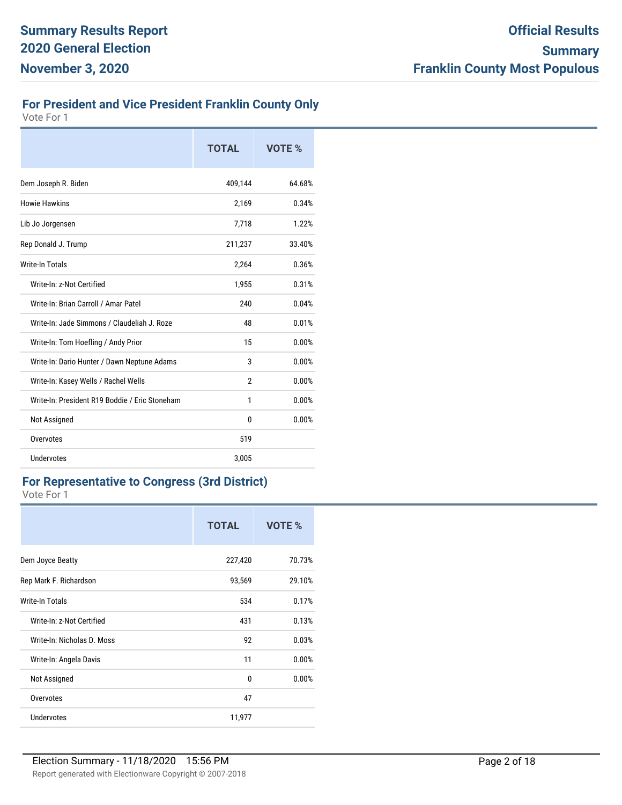## **For President and Vice President Franklin County Only**

Vote For 1

|                                                | <b>TOTAL</b>   | VOTE % |
|------------------------------------------------|----------------|--------|
| Dem Joseph R. Biden                            | 409,144        | 64.68% |
| Howie Hawkins                                  | 2,169          | 0.34%  |
| Lib Jo Jorgensen                               | 7,718          | 1.22%  |
| Rep Donald J. Trump                            | 211,237        | 33.40% |
| <b>Write-In Totals</b>                         | 2,264          | 0.36%  |
| Write-In: z-Not Certified                      | 1,955          | 0.31%  |
| Write-In: Brian Carroll / Amar Patel           | 240            | 0.04%  |
| Write-In: Jade Simmons / Claudeliah J. Roze    | 48             | 0.01%  |
| Write-In: Tom Hoefling / Andy Prior            | 15             | 0.00%  |
| Write-In: Dario Hunter / Dawn Neptune Adams    | 3              | 0.00%  |
| Write-In: Kasey Wells / Rachel Wells           | $\mathfrak{p}$ | 0.00%  |
| Write-In: President R19 Boddie / Eric Stoneham | 1              | 0.00%  |
| Not Assigned                                   | $\Omega$       | 0.00%  |
| Overvotes                                      | 519            |        |
| Undervotes                                     | 3,005          |        |

#### **For Representative to Congress (3rd District)**

|                            | <b>TOTAL</b> | VOTE % |
|----------------------------|--------------|--------|
| Dem Joyce Beatty           | 227,420      | 70.73% |
| Rep Mark F. Richardson     | 93,569       | 29.10% |
| Write-In Totals            | 534          | 0.17%  |
| Write-In: z-Not Certified  | 431          | 0.13%  |
| Write-In: Nicholas D. Moss | 92           | 0.03%  |
| Write-In: Angela Davis     | 11           | 0.00%  |
| Not Assigned               | 0            | 0.00%  |
| Overvotes                  | 47           |        |
| Undervotes                 | 11,977       |        |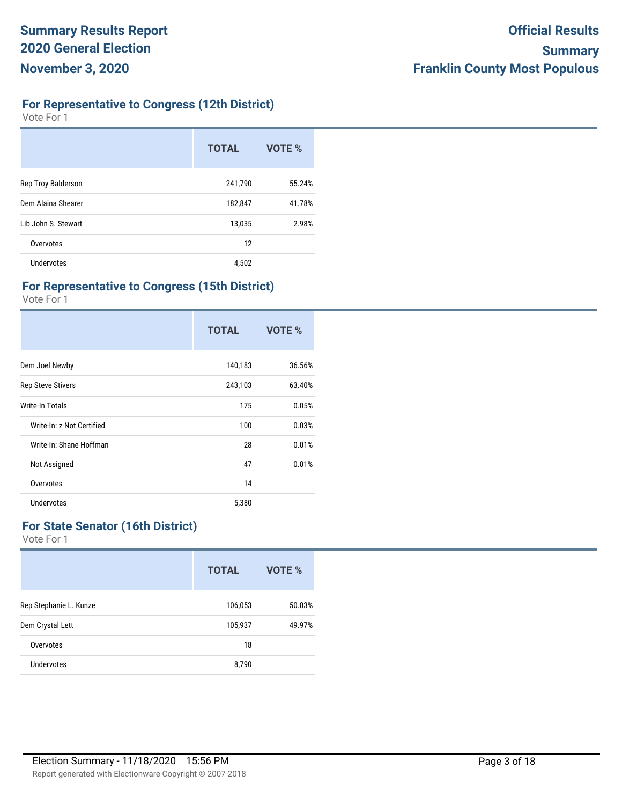## **For Representative to Congress (12th District)**

Vote For 1

|                     | <b>TOTAL</b> | VOTE % |
|---------------------|--------------|--------|
| Rep Troy Balderson  | 241,790      | 55.24% |
| Dem Alaina Shearer  | 182,847      | 41.78% |
| Lib John S. Stewart | 13,035       | 2.98%  |
| Overvotes           | 12           |        |
| Undervotes          | 4,502        |        |

#### **For Representative to Congress (15th District)**

Vote For 1

|                           | <b>TOTAL</b> | VOTE % |
|---------------------------|--------------|--------|
| Dem Joel Newby            | 140,183      | 36.56% |
| <b>Rep Steve Stivers</b>  | 243,103      | 63.40% |
| Write-In Totals           | 175          | 0.05%  |
| Write-In: z-Not Certified | 100          | 0.03%  |
| Write-In: Shane Hoffman   | 28           | 0.01%  |
| Not Assigned              | 47           | 0.01%  |
| Overvotes                 | 14           |        |
| <b>Undervotes</b>         | 5,380        |        |

#### **For State Senator (16th District)**

|                        | <b>TOTAL</b> | VOTE % |
|------------------------|--------------|--------|
| Rep Stephanie L. Kunze | 106,053      | 50.03% |
| Dem Crystal Lett       | 105,937      | 49.97% |
| Overvotes              | 18           |        |
| Undervotes             | 8,790        |        |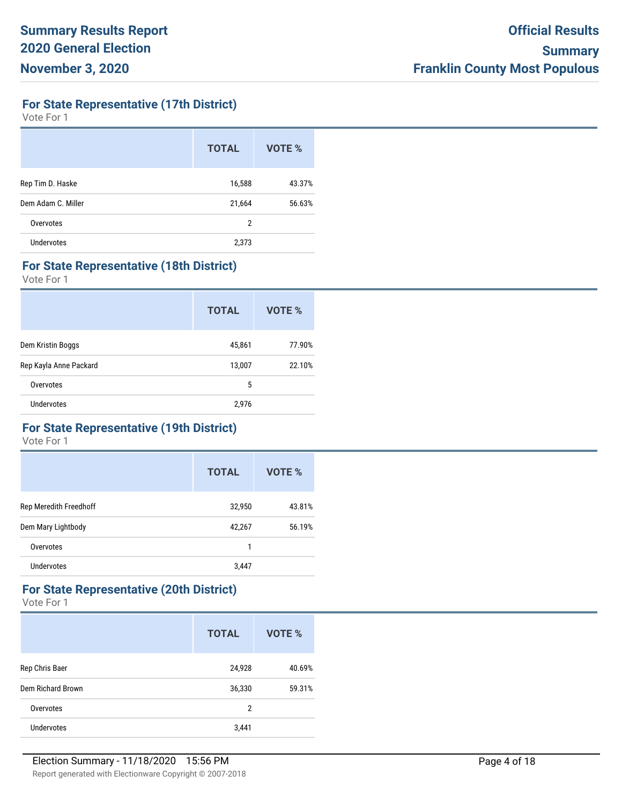**For State Representative (17th District)**

Vote For 1

|                    | <b>TOTAL</b>   | VOTE % |
|--------------------|----------------|--------|
| Rep Tim D. Haske   | 16,588         | 43.37% |
| Dem Adam C. Miller | 21,664         | 56.63% |
| Overvotes          | $\overline{2}$ |        |
| <b>Undervotes</b>  | 2,373          |        |

#### **For State Representative (18th District)**

Vote For 1

|                        | <b>TOTAL</b> | VOTE % |
|------------------------|--------------|--------|
| Dem Kristin Boggs      | 45,861       | 77.90% |
| Rep Kayla Anne Packard | 13,007       | 22.10% |
| Overvotes              | 5            |        |
| Undervotes             | 2,976        |        |

#### **For State Representative (19th District)**

Vote For 1

|                        | <b>TOTAL</b> | VOTE % |
|------------------------|--------------|--------|
| Rep Meredith Freedhoff | 32,950       | 43.81% |
| Dem Mary Lightbody     | 42,267       | 56.19% |
| Overvotes              | 1            |        |
| Undervotes             | 3,447        |        |

# **For State Representative (20th District)**

|                   | <b>TOTAL</b> | <b>VOTE %</b> |
|-------------------|--------------|---------------|
| Rep Chris Baer    | 24,928       | 40.69%        |
| Dem Richard Brown | 36,330       | 59.31%        |
| Overvotes         | 2            |               |
| Undervotes        | 3,441        |               |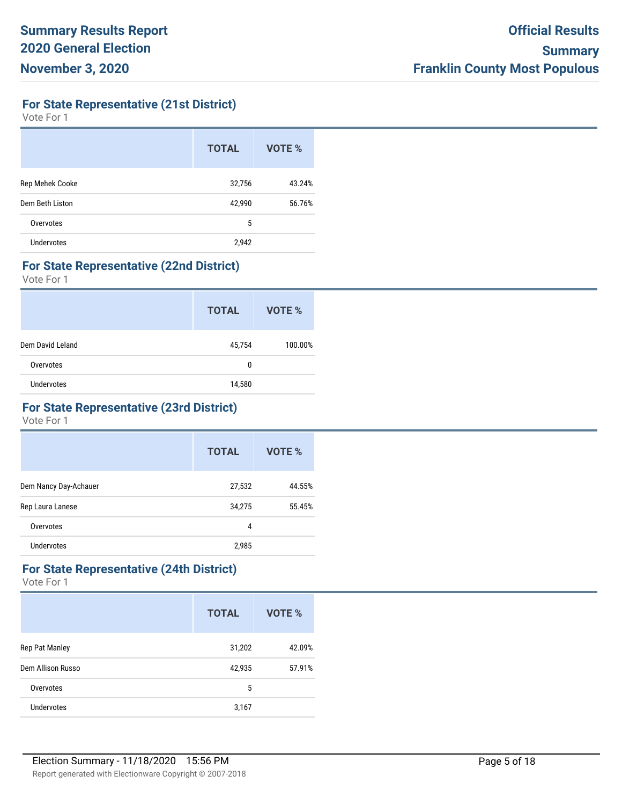**For State Representative (21st District)**

Vote For 1

|                   | <b>TOTAL</b> | VOTE % |
|-------------------|--------------|--------|
| Rep Mehek Cooke   | 32,756       | 43.24% |
| Dem Beth Liston   | 42,990       | 56.76% |
| Overvotes         | 5            |        |
| <b>Undervotes</b> | 2,942        |        |

#### **For State Representative (22nd District)**

Vote For 1

|                  | <b>TOTAL</b> | VOTE %  |
|------------------|--------------|---------|
| Dem David Leland | 45,754       | 100.00% |
| Overvotes        | $\mathbf{0}$ |         |
| Undervotes       | 14,580       |         |

#### **For State Representative (23rd District)**

Vote For 1

|                       | <b>TOTAL</b> | VOTE % |
|-----------------------|--------------|--------|
| Dem Nancy Day-Achauer | 27,532       | 44.55% |
| Rep Laura Lanese      | 34,275       | 55.45% |
| Overvotes             | 4            |        |
| Undervotes            | 2,985        |        |

## **For State Representative (24th District)**

|                   | <b>TOTAL</b> | VOTE % |
|-------------------|--------------|--------|
| Rep Pat Manley    | 31,202       | 42.09% |
| Dem Allison Russo | 42,935       | 57.91% |
| Overvotes         | 5            |        |
| Undervotes        | 3,167        |        |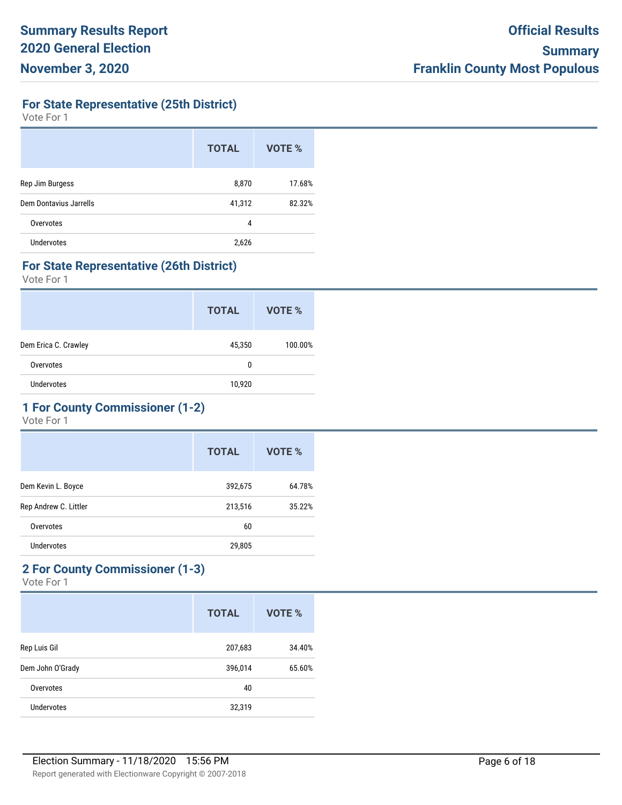**For State Representative (25th District)**

Vote For 1

|                        | <b>TOTAL</b> | VOTE % |
|------------------------|--------------|--------|
| Rep Jim Burgess        | 8,870        | 17.68% |
| Dem Dontavius Jarrells | 41,312       | 82.32% |
| Overvotes              | 4            |        |
| Undervotes             | 2,626        |        |

#### **For State Representative (26th District)**

Vote For 1

|                      | <b>TOTAL</b> | VOTE %  |
|----------------------|--------------|---------|
| Dem Erica C. Crawley | 45,350       | 100.00% |
| Overvotes            | 0            |         |
| Undervotes           | 10,920       |         |

## **1 For County Commissioner (1-2)**

Vote For 1

|                       | <b>TOTAL</b> | VOTE % |
|-----------------------|--------------|--------|
| Dem Kevin L. Boyce    | 392,675      | 64.78% |
| Rep Andrew C. Littler | 213,516      | 35.22% |
| Overvotes             | 60           |        |
| Undervotes            | 29,805       |        |
|                       |              |        |

## **2 For County Commissioner (1-3)**

|                  | <b>TOTAL</b> | VOTE % |
|------------------|--------------|--------|
| Rep Luis Gil     | 207,683      | 34.40% |
| Dem John O'Grady | 396,014      | 65.60% |
| Overvotes        | 40           |        |
| Undervotes       | 32,319       |        |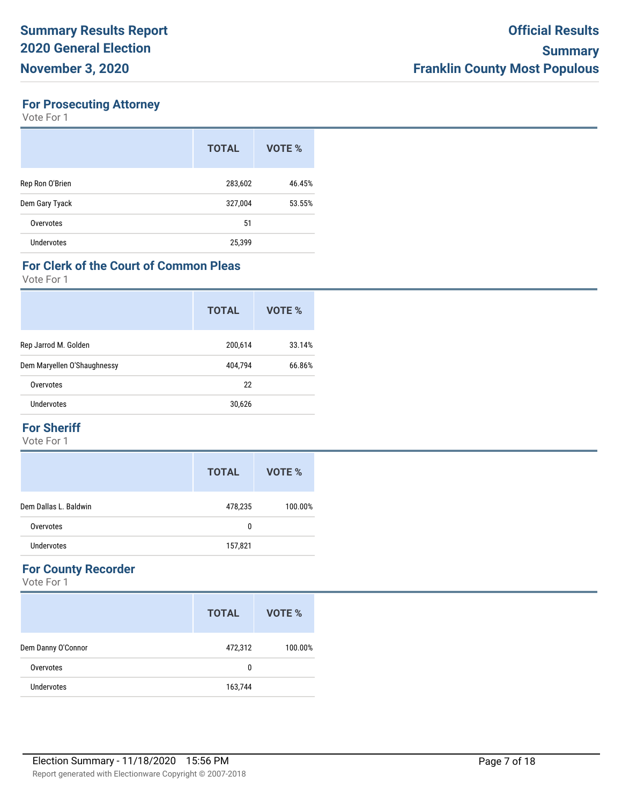### **For Prosecuting Attorney**

Vote For 1

|                 | <b>TOTAL</b> | VOTE % |
|-----------------|--------------|--------|
| Rep Ron O'Brien | 283,602      | 46.45% |
| Dem Gary Tyack  | 327,004      | 53.55% |
| Overvotes       | 51           |        |
| Undervotes      | 25,399       |        |

#### **For Clerk of the Court of Common Pleas**

Vote For 1

|                             | <b>TOTAL</b> | VOTE % |
|-----------------------------|--------------|--------|
| Rep Jarrod M. Golden        | 200,614      | 33.14% |
| Dem Maryellen O'Shaughnessy | 404,794      | 66.86% |
| Overvotes                   | 22           |        |
| Undervotes                  | 30,626       |        |

#### **For Sheriff**

Vote For 1

|                       | <b>TOTAL</b> | VOTE %  |
|-----------------------|--------------|---------|
| Dem Dallas L. Baldwin | 478,235      | 100.00% |
| Overvotes             | 0            |         |
| Undervotes            | 157,821      |         |

## **For County Recorder**

|                    | <b>TOTAL</b> | VOTE %  |
|--------------------|--------------|---------|
| Dem Danny O'Connor | 472,312      | 100.00% |
| Overvotes          | 0            |         |
| Undervotes         | 163,744      |         |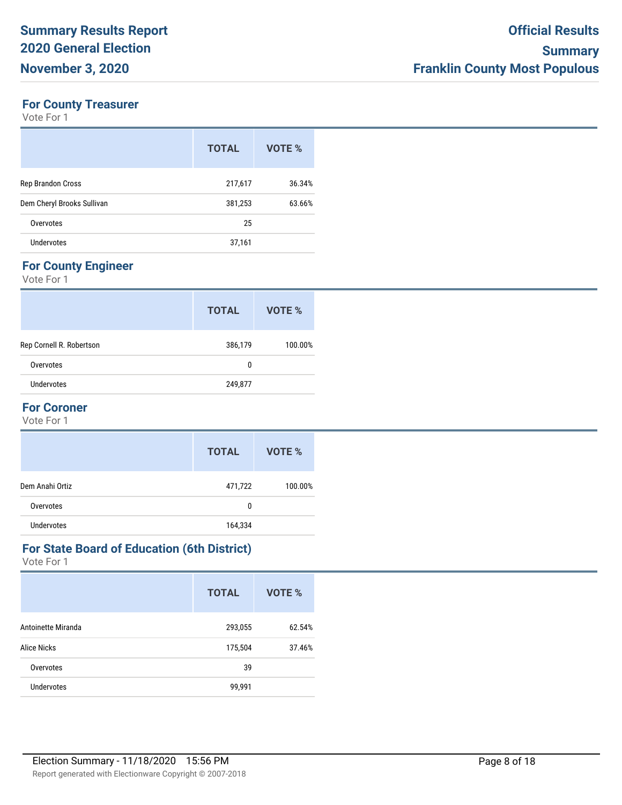## **For County Treasurer**

Vote For 1

|                            | <b>TOTAL</b> | VOTE % |
|----------------------------|--------------|--------|
| Rep Brandon Cross          | 217,617      | 36.34% |
| Dem Cheryl Brooks Sullivan | 381,253      | 63.66% |
| Overvotes                  | 25           |        |
| <b>Undervotes</b>          | 37,161       |        |

## **For County Engineer**

Vote For 1

|                          | <b>TOTAL</b> | VOTE %  |
|--------------------------|--------------|---------|
| Rep Cornell R. Robertson | 386,179      | 100.00% |
| Overvotes                | 0            |         |
| Undervotes               | 249,877      |         |

## **For Coroner**

Vote For 1

|                 | <b>TOTAL</b> | VOTE %  |
|-----------------|--------------|---------|
| Dem Anahi Ortiz | 471,722      | 100.00% |
| Overvotes       | 0            |         |
| Undervotes      | 164,334      |         |

#### **For State Board of Education (6th District)**

|                    | <b>TOTAL</b> | VOTE % |
|--------------------|--------------|--------|
| Antoinette Miranda | 293,055      | 62.54% |
| <b>Alice Nicks</b> | 175,504      | 37.46% |
| Overvotes          | 39           |        |
| <b>Undervotes</b>  | 99,991       |        |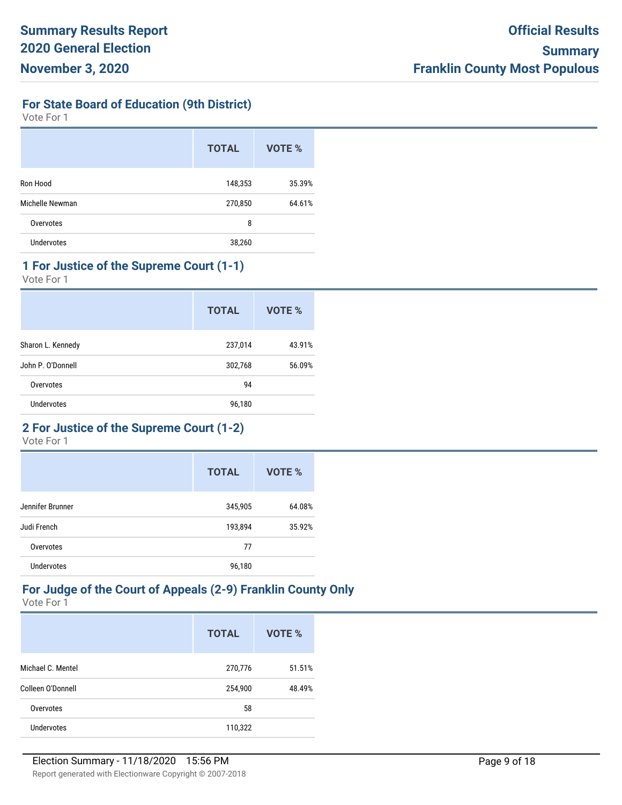**For State Board of Education (9th District)**

Vote For 1

|                   | <b>TOTAL</b> | <b>VOTE %</b> |
|-------------------|--------------|---------------|
| Ron Hood          | 148,353      | 35.39%        |
| Michelle Newman   | 270,850      | 64.61%        |
| Overvotes         | 8            |               |
| <b>Undervotes</b> | 38,260       |               |

## **1 For Justice of the Supreme Court (1-1)**

Vote For 1

|                   | <b>TOTAL</b> | VOTE % |
|-------------------|--------------|--------|
| Sharon L. Kennedy | 237,014      | 43.91% |
| John P. O'Donnell | 302,768      | 56.09% |
| Overvotes         | 94           |        |
| <b>Undervotes</b> | 96,180       |        |

## **2 For Justice of the Supreme Court (1-2)**

Vote For 1

|                   | <b>TOTAL</b> | <b>VOTE %</b> |
|-------------------|--------------|---------------|
| Jennifer Brunner  | 345,905      | 64.08%        |
| Judi French       | 193,894      | 35.92%        |
| Overvotes         | 77           |               |
| <b>Undervotes</b> | 96,180       |               |

#### **For Judge of the Court of Appeals (2-9) Franklin County Only** Vote For 1

|                   | <b>TOTAL</b> | VOTE % |
|-------------------|--------------|--------|
| Michael C. Mentel | 270,776      | 51.51% |
| Colleen O'Donnell | 254,900      | 48.49% |
| Overvotes         | 58           |        |
| Undervotes        | 110,322      |        |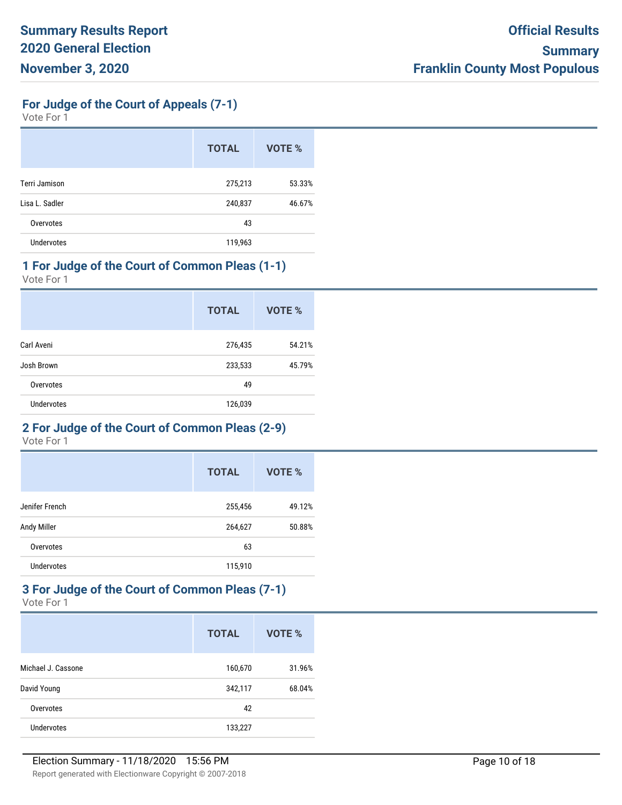**For Judge of the Court of Appeals (7-1)**

Vote For 1

|                      | <b>TOTAL</b> | <b>VOTE %</b> |
|----------------------|--------------|---------------|
| <b>Terri Jamison</b> | 275,213      | 53.33%        |
| Lisa L. Sadler       | 240,837      | 46.67%        |
| Overvotes            | 43           |               |
| <b>Undervotes</b>    | 119,963      |               |

## **1 For Judge of the Court of Common Pleas (1-1)**

Vote For 1

|                   | <b>TOTAL</b> | VOTE % |
|-------------------|--------------|--------|
| Carl Aveni        | 276,435      | 54.21% |
| Josh Brown        | 233,533      | 45.79% |
| Overvotes         | 49           |        |
| <b>Undervotes</b> | 126,039      |        |

#### **2 For Judge of the Court of Common Pleas (2-9)**

Vote For 1

|                | <b>TOTAL</b> | <b>VOTE %</b> |
|----------------|--------------|---------------|
| Jenifer French | 255,456      | 49.12%        |
| Andy Miller    | 264,627      | 50.88%        |
| Overvotes      | 63           |               |
| Undervotes     | 115,910      |               |

#### **3 For Judge of the Court of Common Pleas (7-1)** Vote For 1

|                    | <b>TOTAL</b> | VOTE % |
|--------------------|--------------|--------|
| Michael J. Cassone | 160,670      | 31.96% |
| David Young        | 342,117      | 68.04% |
| Overvotes          | 42           |        |
| Undervotes         | 133,227      |        |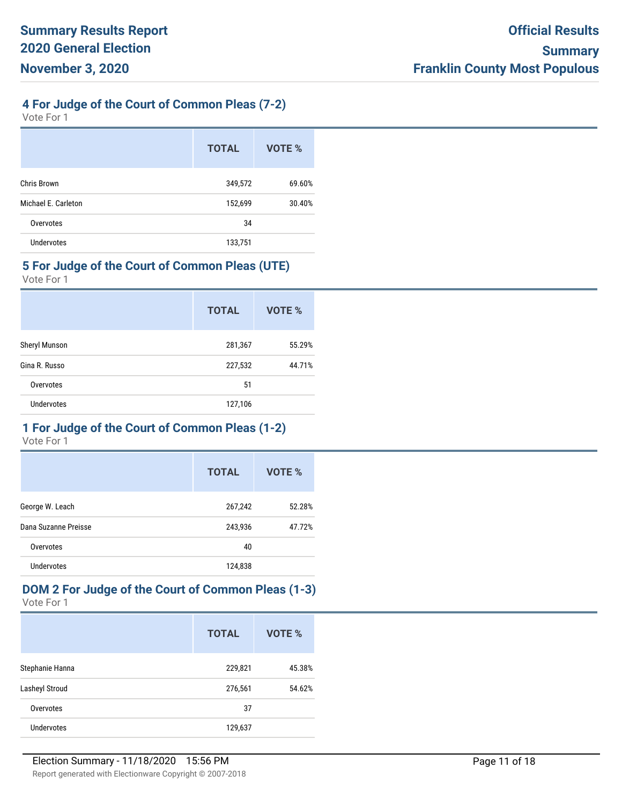## **4 For Judge of the Court of Common Pleas (7-2)**

Vote For 1

|                     | <b>TOTAL</b> | VOTE % |
|---------------------|--------------|--------|
| Chris Brown         | 349,572      | 69.60% |
| Michael E. Carleton | 152,699      | 30.40% |
| Overvotes           | 34           |        |
| <b>Undervotes</b>   | 133,751      |        |

#### **5 For Judge of the Court of Common Pleas (UTE)**

Vote For 1

|                   | <b>TOTAL</b> | VOTE % |
|-------------------|--------------|--------|
| Sheryl Munson     | 281,367      | 55.29% |
| Gina R. Russo     | 227,532      | 44.71% |
| Overvotes         | 51           |        |
| <b>Undervotes</b> | 127,106      |        |

## **1 For Judge of the Court of Common Pleas (1-2)**

Vote For 1

|                      | <b>TOTAL</b> | VOTE % |
|----------------------|--------------|--------|
| George W. Leach      | 267,242      | 52.28% |
| Dana Suzanne Preisse | 243,936      | 47.72% |
| Overvotes            | 40           |        |
| Undervotes           | 124,838      |        |

#### **DOM 2 For Judge of the Court of Common Pleas (1-3)** Vote For 1

|                       | <b>TOTAL</b> | VOTE % |
|-----------------------|--------------|--------|
| Stephanie Hanna       | 229,821      | 45.38% |
| <b>Lasheyl Stroud</b> | 276,561      | 54.62% |
| Overvotes             | 37           |        |
| Undervotes            | 129,637      |        |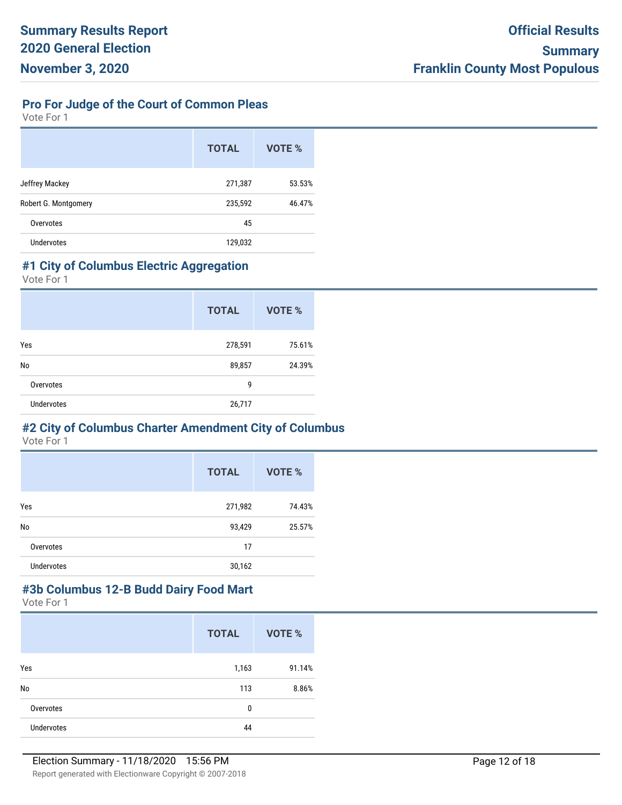## **Pro For Judge of the Court of Common Pleas**

Vote For 1

|                      | <b>TOTAL</b> | VOTE % |
|----------------------|--------------|--------|
| Jeffrey Mackey       | 271,387      | 53.53% |
| Robert G. Montgomery | 235,592      | 46.47% |
| Overvotes            | 45           |        |
| Undervotes           | 129,032      |        |

#### **#1 City of Columbus Electric Aggregation**

Vote For 1

|                   | <b>TOTAL</b> | <b>VOTE %</b> |
|-------------------|--------------|---------------|
| Yes               | 278,591      | 75.61%        |
| No                | 89,857       | 24.39%        |
| Overvotes         | 9            |               |
| <b>Undervotes</b> | 26,717       |               |

# **#2 City of Columbus Charter Amendment City of Columbus**

Vote For 1

|                   | <b>TOTAL</b> | VOTE % |
|-------------------|--------------|--------|
| Yes               | 271,982      | 74.43% |
| No                | 93,429       | 25.57% |
| Overvotes         | 17           |        |
| <b>Undervotes</b> | 30,162       |        |

# **#3b Columbus 12-B Budd Dairy Food Mart**

|                   | <b>TOTAL</b> | VOTE % |
|-------------------|--------------|--------|
| Yes               | 1,163        | 91.14% |
| No                | 113          | 8.86%  |
| Overvotes         | 0            |        |
| <b>Undervotes</b> | 44           |        |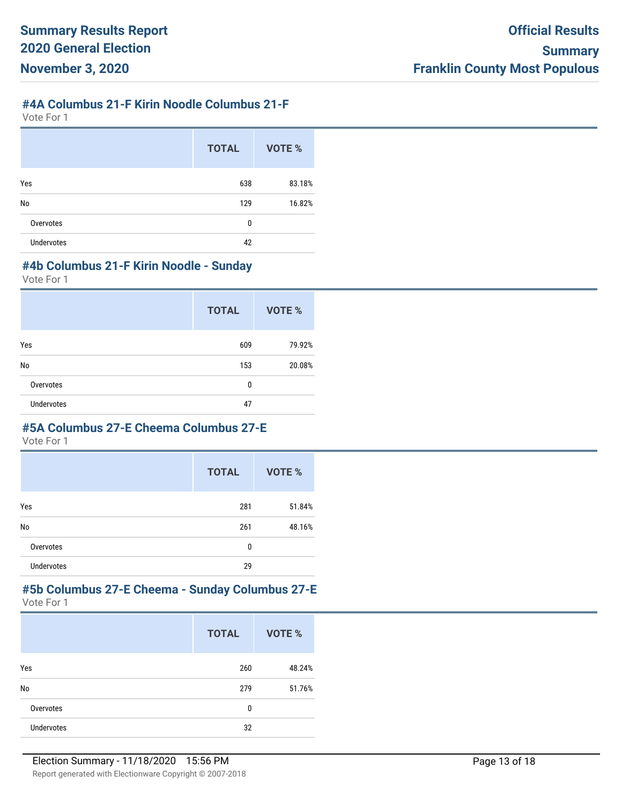## **#4A Columbus 21-F Kirin Noodle Columbus 21-F**

Vote For 1

|                   | <b>TOTAL</b> | VOTE % |
|-------------------|--------------|--------|
| Yes               | 638          | 83.18% |
| No                | 129          | 16.82% |
| Overvotes         | 0            |        |
| <b>Undervotes</b> | 42           |        |

#### **#4b Columbus 21-F Kirin Noodle - Sunday**

Vote For 1

|                   | <b>TOTAL</b> | <b>VOTE %</b> |
|-------------------|--------------|---------------|
| Yes               | 609          | 79.92%        |
| No                | 153          | 20.08%        |
| Overvotes         | 0            |               |
| <b>Undervotes</b> | 47           |               |

#### **#5A Columbus 27-E Cheema Columbus 27-E**

Vote For 1

|                   | <b>TOTAL</b> | <b>VOTE %</b> |
|-------------------|--------------|---------------|
| Yes               | 281          | 51.84%        |
| No                | 261          | 48.16%        |
| Overvotes         | 0            |               |
| <b>Undervotes</b> | 29           |               |

#### **#5b Columbus 27-E Cheema - Sunday Columbus 27-E** Vote For 1

|                   | <b>TOTAL</b> | VOTE % |
|-------------------|--------------|--------|
| Yes               | 260          | 48.24% |
| No                | 279          | 51.76% |
| Overvotes         | 0            |        |
| <b>Undervotes</b> | 32           |        |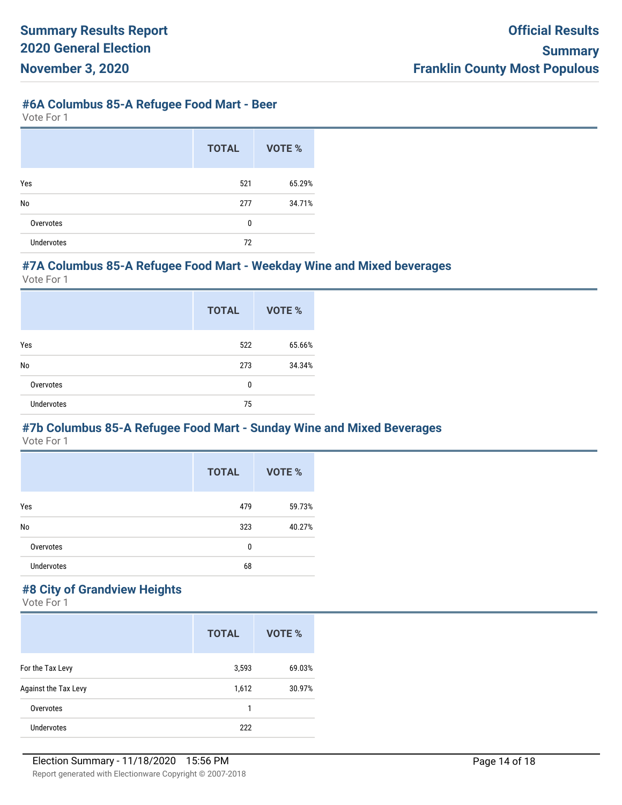#### **#6A Columbus 85-A Refugee Food Mart - Beer**

Vote For 1

|                   | <b>TOTAL</b> | VOTE % |
|-------------------|--------------|--------|
| Yes               | 521          | 65.29% |
| No                | 277          | 34.71% |
| Overvotes         | 0            |        |
| <b>Undervotes</b> | 72           |        |

#### **#7A Columbus 85-A Refugee Food Mart - Weekday Wine and Mixed beverages**

Vote For 1

|                   | <b>TOTAL</b> | VOTE % |
|-------------------|--------------|--------|
| Yes               | 522          | 65.66% |
| No                | 273          | 34.34% |
| Overvotes         | 0            |        |
| <b>Undervotes</b> | 75           |        |

#### **#7b Columbus 85-A Refugee Food Mart - Sunday Wine and Mixed Beverages**

Vote For 1

|                   | <b>TOTAL</b> | VOTE % |
|-------------------|--------------|--------|
| Yes               | 479          | 59.73% |
| No                | 323          | 40.27% |
| Overvotes         | 0            |        |
| <b>Undervotes</b> | 68           |        |

## **#8 City of Grandview Heights**

|                      | <b>TOTAL</b> | VOTE % |
|----------------------|--------------|--------|
| For the Tax Levy     | 3,593        | 69.03% |
| Against the Tax Levy | 1,612        | 30.97% |
| Overvotes            | 1            |        |
| Undervotes           | 222          |        |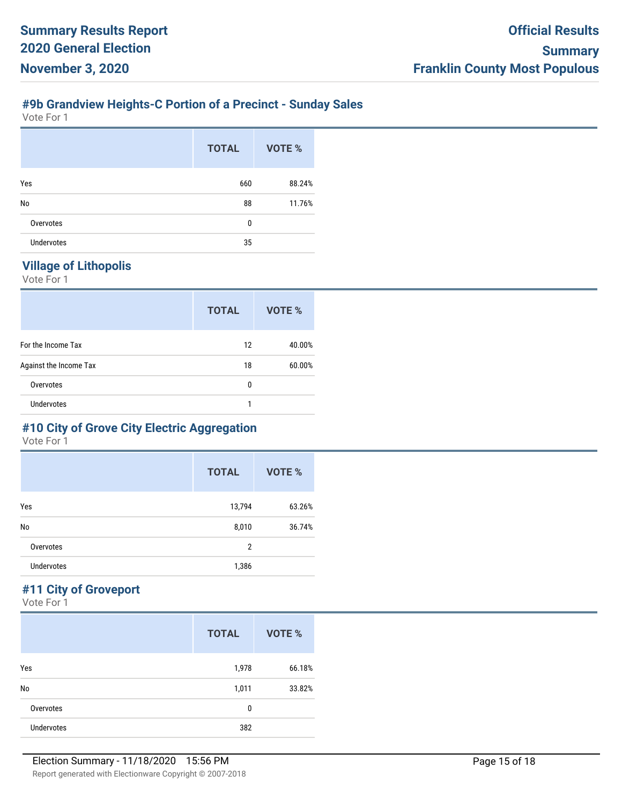## **#9b Grandview Heights-C Portion of a Precinct - Sunday Sales**

Vote For 1

|                   | <b>TOTAL</b> | VOTE % |
|-------------------|--------------|--------|
| Yes               | 660          | 88.24% |
| No                | 88           | 11.76% |
| Overvotes         | 0            |        |
| <b>Undervotes</b> | 35           |        |

#### **Village of Lithopolis**

Vote For 1

|                        | <b>TOTAL</b> | VOTE % |
|------------------------|--------------|--------|
| For the Income Tax     | 12           | 40.00% |
| Against the Income Tax | 18           | 60.00% |
| Overvotes              | 0            |        |
| <b>Undervotes</b>      | 1            |        |

## **#10 City of Grove City Electric Aggregation**

Vote For 1

|                   | <b>TOTAL</b>   | <b>VOTE %</b> |
|-------------------|----------------|---------------|
| Yes               | 13,794         | 63.26%        |
| No                | 8,010          | 36.74%        |
| Overvotes         | $\overline{2}$ |               |
| <b>Undervotes</b> | 1,386          |               |

## **#11 City of Groveport**

|                   | <b>TOTAL</b> | <b>VOTE %</b> |
|-------------------|--------------|---------------|
| Yes               | 1,978        | 66.18%        |
| No                | 1,011        | 33.82%        |
| Overvotes         | 0            |               |
| <b>Undervotes</b> | 382          |               |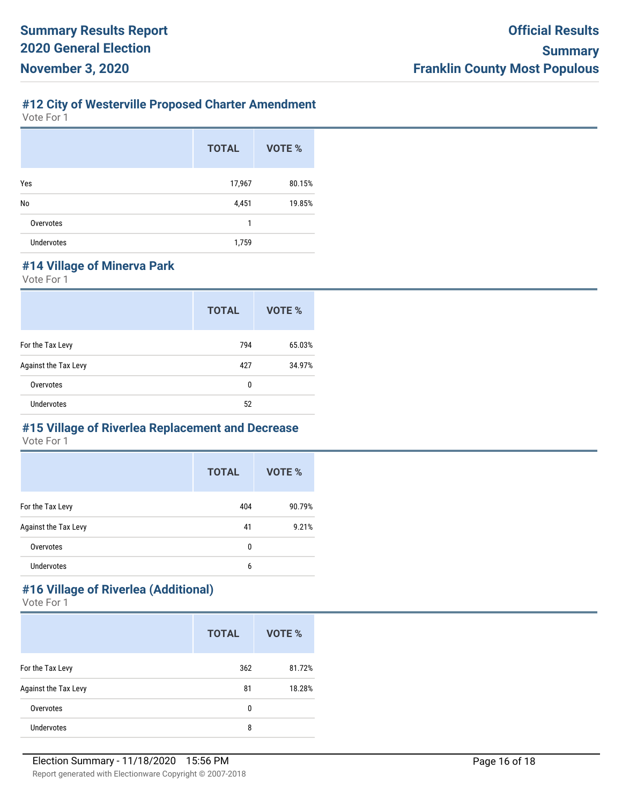## **#12 City of Westerville Proposed Charter Amendment**

Vote For 1

|                   | <b>TOTAL</b> | <b>VOTE %</b> |
|-------------------|--------------|---------------|
| Yes               | 17,967       | 80.15%        |
| No                | 4,451        | 19.85%        |
| Overvotes         | 1            |               |
| <b>Undervotes</b> | 1,759        |               |

## **#14 Village of Minerva Park**

Vote For 1

|                      | <b>TOTAL</b> | VOTE % |
|----------------------|--------------|--------|
| For the Tax Levy     | 794          | 65.03% |
| Against the Tax Levy | 427          | 34.97% |
| Overvotes            | 0            |        |
| <b>Undervotes</b>    | 52           |        |

## **#15 Village of Riverlea Replacement and Decrease**

Vote For 1

|                      | <b>TOTAL</b> | <b>VOTE %</b> |
|----------------------|--------------|---------------|
| For the Tax Levy     | 404          | 90.79%        |
| Against the Tax Levy | 41           | 9.21%         |
| Overvotes            | 0            |               |
| <b>Undervotes</b>    | 6            |               |

## **#16 Village of Riverlea (Additional)**

|                      | <b>TOTAL</b> | VOTE % |
|----------------------|--------------|--------|
| For the Tax Levy     | 362          | 81.72% |
| Against the Tax Levy | 81           | 18.28% |
| Overvotes            | 0            |        |
| Undervotes           | 8            |        |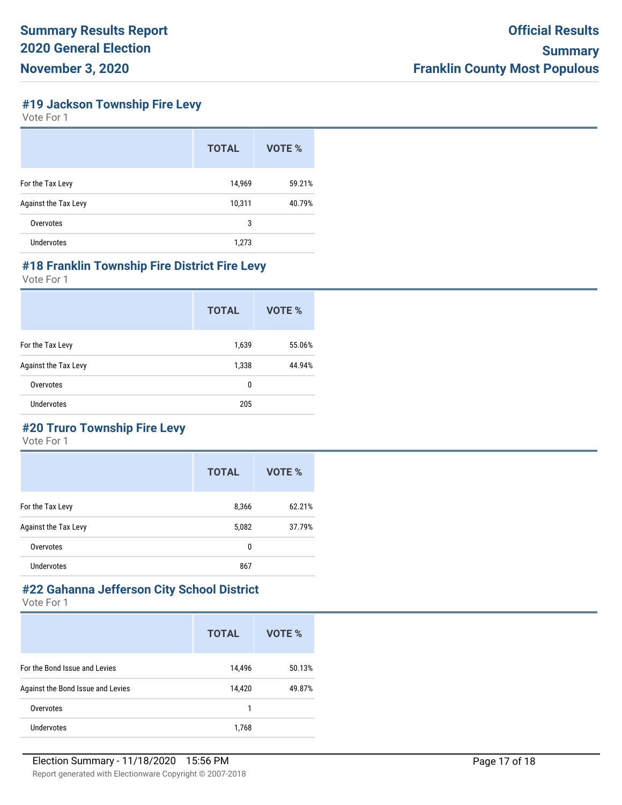**#19 Jackson Township Fire Levy**

Vote For 1

|                      | <b>TOTAL</b> | VOTE % |
|----------------------|--------------|--------|
| For the Tax Levy     | 14,969       | 59.21% |
| Against the Tax Levy | 10,311       | 40.79% |
| Overvotes            | 3            |        |
| <b>Undervotes</b>    | 1,273        |        |

#### **#18 Franklin Township Fire District Fire Levy**

Vote For 1

|                      | <b>TOTAL</b> | VOTE % |
|----------------------|--------------|--------|
| For the Tax Levy     | 1,639        | 55.06% |
| Against the Tax Levy | 1,338        | 44.94% |
| Overvotes            | 0            |        |
| Undervotes           | 205          |        |

## **#20 Truro Township Fire Levy**

Vote For 1

|                      | <b>TOTAL</b> | VOTE % |
|----------------------|--------------|--------|
| For the Tax Levy     | 8,366        | 62.21% |
| Against the Tax Levy | 5,082        | 37.79% |
| Overvotes            | 0            |        |
| Undervotes           | 867          |        |

# **#22 Gahanna Jefferson City School District**

|                                   | <b>TOTAL</b> | VOTE % |
|-----------------------------------|--------------|--------|
| For the Bond Issue and Levies     | 14,496       | 50.13% |
| Against the Bond Issue and Levies | 14,420       | 49.87% |
| Overvotes                         | 1            |        |
| Undervotes                        | 1,768        |        |